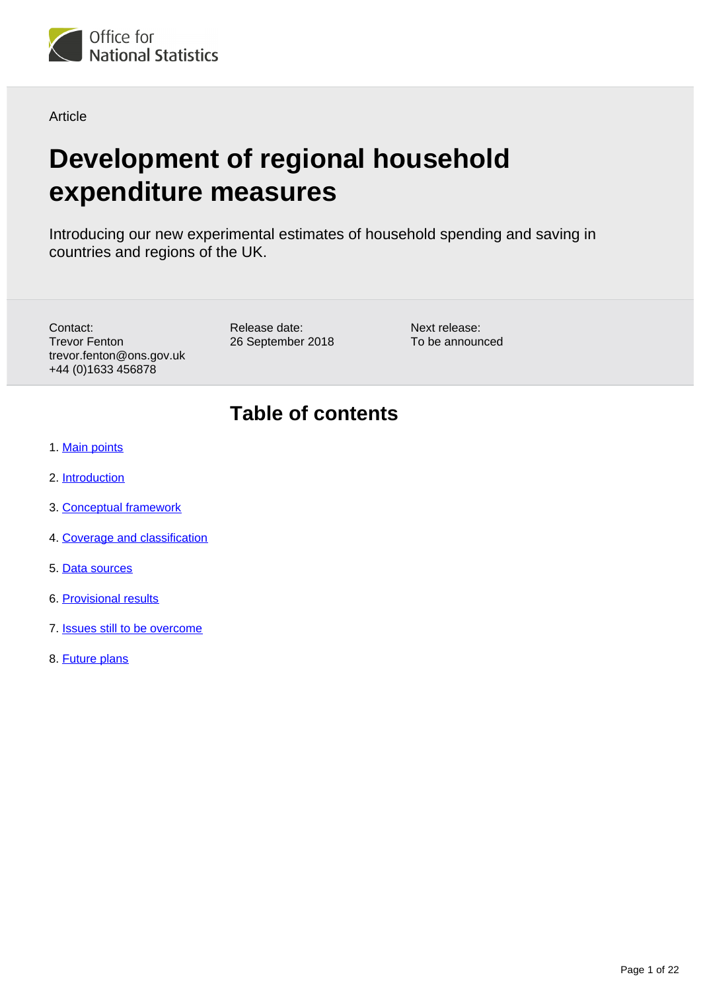

Article

# **Development of regional household expenditure measures**

Introducing our new experimental estimates of household spending and saving in countries and regions of the UK.

Contact: Trevor Fenton trevor.fenton@ons.gov.uk +44 (0)1633 456878

Release date: 26 September 2018

Next release: To be announced

### **Table of contents**

- 1. [Main points](#page-1-0)
- 2. [Introduction](#page-1-1)
- 3. [Conceptual framework](#page-2-0)
- 4. [Coverage and classification](#page-3-0)
- 5. [Data sources](#page-7-0)
- 6. [Provisional results](#page-13-0)
- 7. **[Issues still to be overcome](#page-18-0)**
- 8. [Future plans](#page-20-0)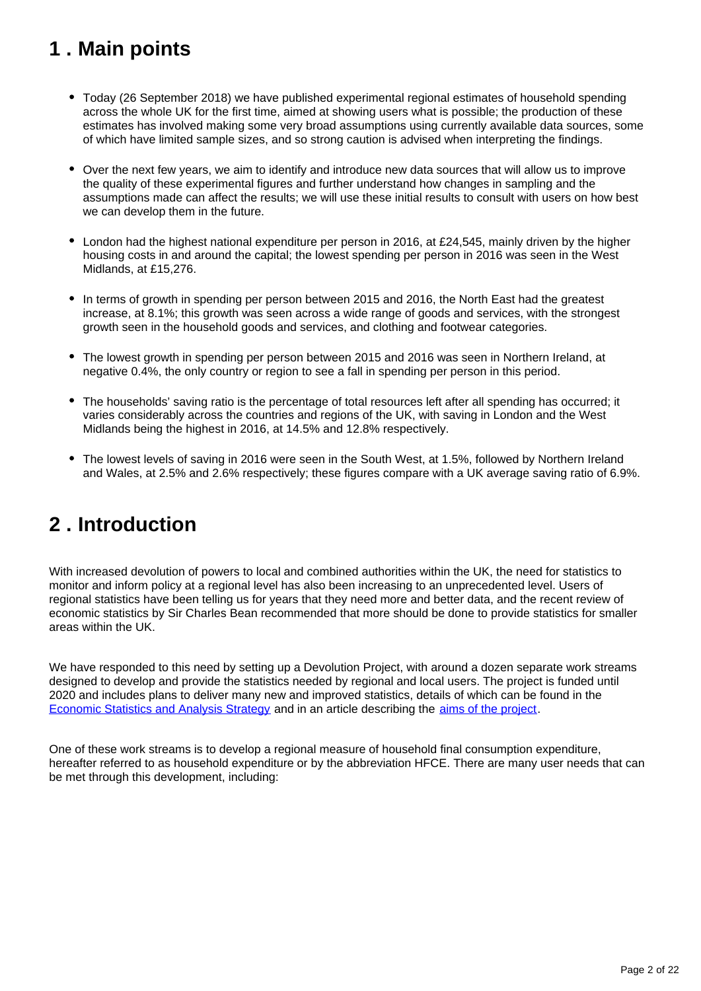## <span id="page-1-0"></span>**1 . Main points**

- Today (26 September 2018) we have published experimental regional estimates of household spending across the whole UK for the first time, aimed at showing users what is possible; the production of these estimates has involved making some very broad assumptions using currently available data sources, some of which have limited sample sizes, and so strong caution is advised when interpreting the findings.
- Over the next few years, we aim to identify and introduce new data sources that will allow us to improve the quality of these experimental figures and further understand how changes in sampling and the assumptions made can affect the results; we will use these initial results to consult with users on how best we can develop them in the future.
- London had the highest national expenditure per person in 2016, at £24,545, mainly driven by the higher housing costs in and around the capital; the lowest spending per person in 2016 was seen in the West Midlands, at £15,276.
- In terms of growth in spending per person between 2015 and 2016, the North East had the greatest increase, at 8.1%; this growth was seen across a wide range of goods and services, with the strongest growth seen in the household goods and services, and clothing and footwear categories.
- The lowest growth in spending per person between 2015 and 2016 was seen in Northern Ireland, at negative 0.4%, the only country or region to see a fall in spending per person in this period.
- The households' saving ratio is the percentage of total resources left after all spending has occurred; it varies considerably across the countries and regions of the UK, with saving in London and the West Midlands being the highest in 2016, at 14.5% and 12.8% respectively.
- The lowest levels of saving in 2016 were seen in the South West, at 1.5%, followed by Northern Ireland and Wales, at 2.5% and 2.6% respectively; these figures compare with a UK average saving ratio of 6.9%.

### <span id="page-1-1"></span>**2 . Introduction**

With increased devolution of powers to local and combined authorities within the UK, the need for statistics to monitor and inform policy at a regional level has also been increasing to an unprecedented level. Users of regional statistics have been telling us for years that they need more and better data, and the recent review of economic statistics by Sir Charles Bean recommended that more should be done to provide statistics for smaller areas within the UK.

We have responded to this need by setting up a Devolution Project, with around a dozen separate work streams designed to develop and provide the statistics needed by regional and local users. The project is funded until 2020 and includes plans to deliver many new and improved statistics, details of which can be found in the [Economic Statistics and Analysis Strategy](https://www.ons.gov.uk/methodology/classificationsandstandards/economicstatisticsclassifications/economicstatisticsandanalysisstrategy) and in an article describing the [aims of the project](https://www.ons.gov.uk/economy/regionalaccounts/grossdisposablehouseholdincome/articles/supportingdevolutiondevelopmentsinregionalandlocalstatistics/2016-05-25).

One of these work streams is to develop a regional measure of household final consumption expenditure, hereafter referred to as household expenditure or by the abbreviation HFCE. There are many user needs that can be met through this development, including: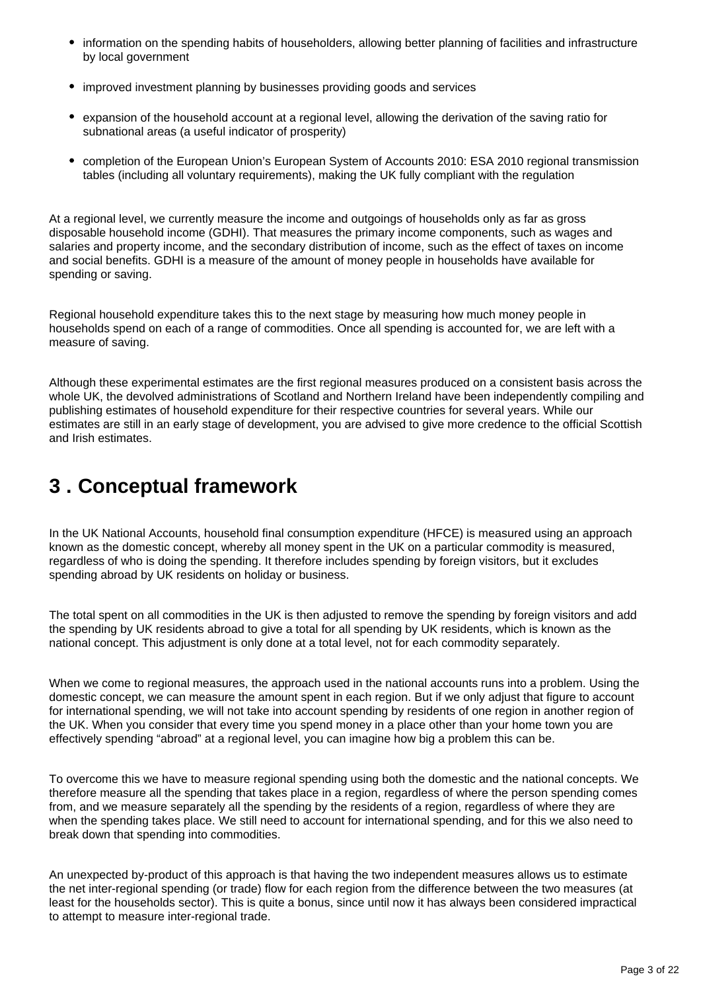- information on the spending habits of householders, allowing better planning of facilities and infrastructure by local government
- improved investment planning by businesses providing goods and services
- expansion of the household account at a regional level, allowing the derivation of the saving ratio for subnational areas (a useful indicator of prosperity)
- completion of the European Union's European System of Accounts 2010: ESA 2010 regional transmission tables (including all voluntary requirements), making the UK fully compliant with the regulation

At a regional level, we currently measure the income and outgoings of households only as far as gross disposable household income (GDHI). That measures the primary income components, such as wages and salaries and property income, and the secondary distribution of income, such as the effect of taxes on income and social benefits. GDHI is a measure of the amount of money people in households have available for spending or saving.

Regional household expenditure takes this to the next stage by measuring how much money people in households spend on each of a range of commodities. Once all spending is accounted for, we are left with a measure of saving.

Although these experimental estimates are the first regional measures produced on a consistent basis across the whole UK, the devolved administrations of Scotland and Northern Ireland have been independently compiling and publishing estimates of household expenditure for their respective countries for several years. While our estimates are still in an early stage of development, you are advised to give more credence to the official Scottish and Irish estimates.

### <span id="page-2-0"></span>**3 . Conceptual framework**

In the UK National Accounts, household final consumption expenditure (HFCE) is measured using an approach known as the domestic concept, whereby all money spent in the UK on a particular commodity is measured, regardless of who is doing the spending. It therefore includes spending by foreign visitors, but it excludes spending abroad by UK residents on holiday or business.

The total spent on all commodities in the UK is then adjusted to remove the spending by foreign visitors and add the spending by UK residents abroad to give a total for all spending by UK residents, which is known as the national concept. This adjustment is only done at a total level, not for each commodity separately.

When we come to regional measures, the approach used in the national accounts runs into a problem. Using the domestic concept, we can measure the amount spent in each region. But if we only adjust that figure to account for international spending, we will not take into account spending by residents of one region in another region of the UK. When you consider that every time you spend money in a place other than your home town you are effectively spending "abroad" at a regional level, you can imagine how big a problem this can be.

To overcome this we have to measure regional spending using both the domestic and the national concepts. We therefore measure all the spending that takes place in a region, regardless of where the person spending comes from, and we measure separately all the spending by the residents of a region, regardless of where they are when the spending takes place. We still need to account for international spending, and for this we also need to break down that spending into commodities.

An unexpected by-product of this approach is that having the two independent measures allows us to estimate the net inter-regional spending (or trade) flow for each region from the difference between the two measures (at least for the households sector). This is quite a bonus, since until now it has always been considered impractical to attempt to measure inter-regional trade.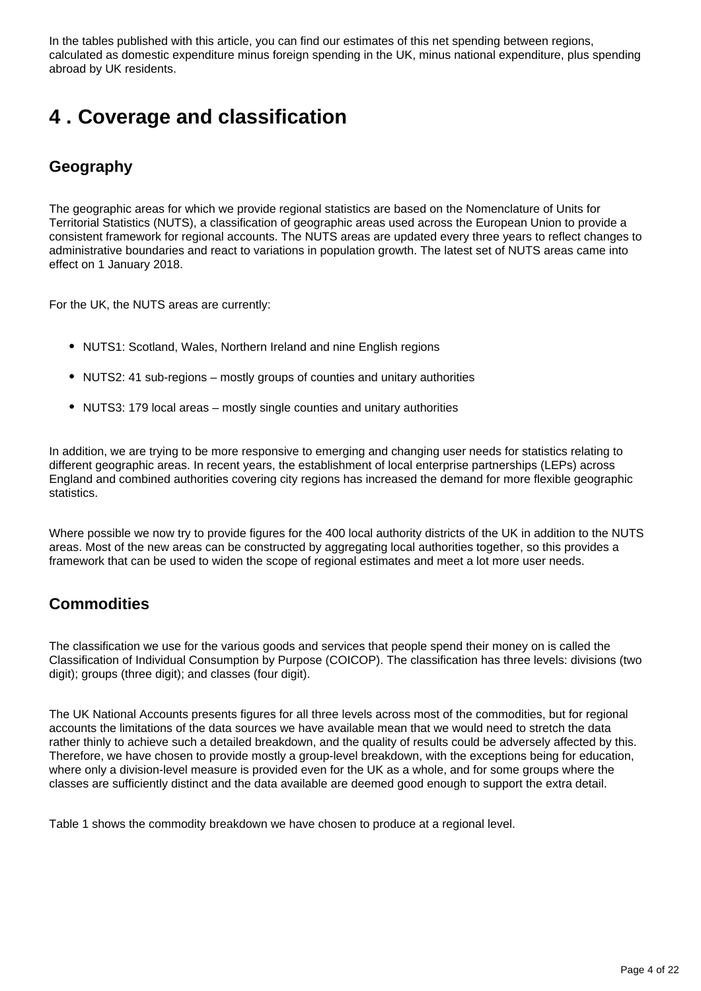In the tables published with this article, you can find our estimates of this net spending between regions, calculated as domestic expenditure minus foreign spending in the UK, minus national expenditure, plus spending abroad by UK residents.

### <span id="page-3-0"></span>**4 . Coverage and classification**

#### **Geography**

The geographic areas for which we provide regional statistics are based on the Nomenclature of Units for Territorial Statistics (NUTS), a classification of geographic areas used across the European Union to provide a consistent framework for regional accounts. The NUTS areas are updated every three years to reflect changes to administrative boundaries and react to variations in population growth. The latest set of NUTS areas came into effect on 1 January 2018.

For the UK, the NUTS areas are currently:

- NUTS1: Scotland, Wales, Northern Ireland and nine English regions
- NUTS2: 41 sub-regions mostly groups of counties and unitary authorities
- NUTS3: 179 local areas mostly single counties and unitary authorities

In addition, we are trying to be more responsive to emerging and changing user needs for statistics relating to different geographic areas. In recent years, the establishment of local enterprise partnerships (LEPs) across England and combined authorities covering city regions has increased the demand for more flexible geographic statistics.

Where possible we now try to provide figures for the 400 local authority districts of the UK in addition to the NUTS areas. Most of the new areas can be constructed by aggregating local authorities together, so this provides a framework that can be used to widen the scope of regional estimates and meet a lot more user needs.

#### **Commodities**

The classification we use for the various goods and services that people spend their money on is called the Classification of Individual Consumption by Purpose (COICOP). The classification has three levels: divisions (two digit); groups (three digit); and classes (four digit).

The UK National Accounts presents figures for all three levels across most of the commodities, but for regional accounts the limitations of the data sources we have available mean that we would need to stretch the data rather thinly to achieve such a detailed breakdown, and the quality of results could be adversely affected by this. Therefore, we have chosen to provide mostly a group-level breakdown, with the exceptions being for education, where only a division-level measure is provided even for the UK as a whole, and for some groups where the classes are sufficiently distinct and the data available are deemed good enough to support the extra detail.

Table 1 shows the commodity breakdown we have chosen to produce at a regional level.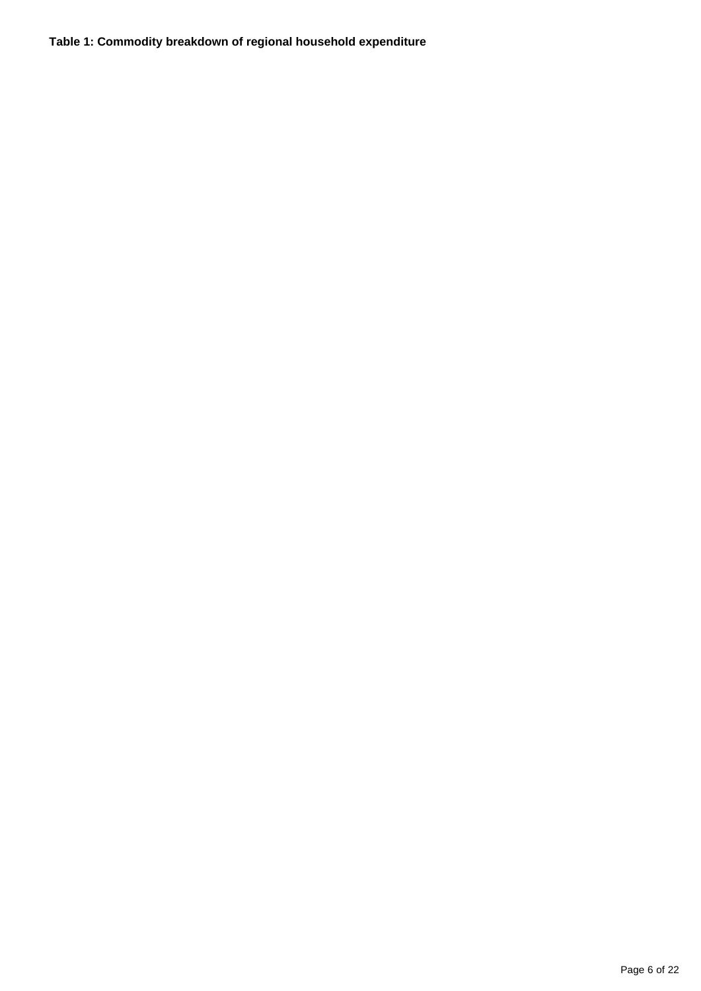#### **Table 1: Commodity breakdown of regional household expenditure**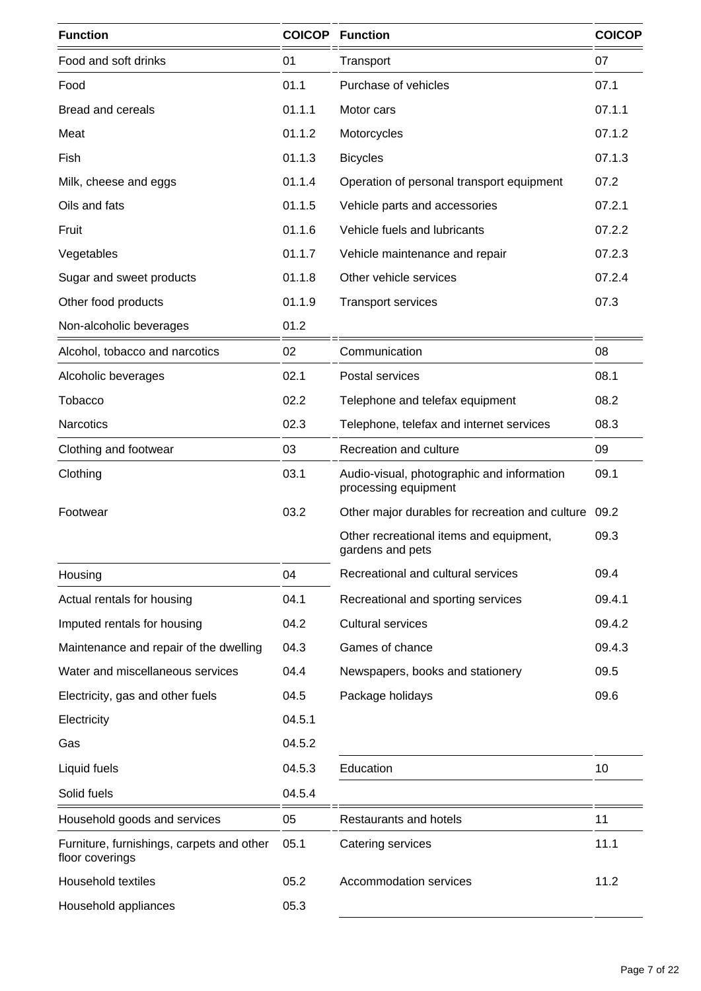| <b>Function</b>                                              |        | <b>COICOP</b> Function                                             | <b>COICOP</b> |
|--------------------------------------------------------------|--------|--------------------------------------------------------------------|---------------|
| Food and soft drinks                                         | 01     | Transport                                                          | 07            |
| Food                                                         | 01.1   | Purchase of vehicles                                               | 07.1          |
| <b>Bread and cereals</b>                                     | 01.1.1 | Motor cars                                                         | 07.1.1        |
| Meat                                                         | 01.1.2 | Motorcycles                                                        | 07.1.2        |
| Fish                                                         | 01.1.3 | <b>Bicycles</b>                                                    | 07.1.3        |
| Milk, cheese and eggs                                        | 01.1.4 | Operation of personal transport equipment                          | 07.2          |
| Oils and fats                                                | 01.1.5 | Vehicle parts and accessories                                      | 07.2.1        |
| Fruit                                                        | 01.1.6 | Vehicle fuels and lubricants                                       | 07.2.2        |
| Vegetables                                                   | 01.1.7 | Vehicle maintenance and repair                                     | 07.2.3        |
| Sugar and sweet products                                     | 01.1.8 | Other vehicle services                                             | 07.2.4        |
| Other food products                                          | 01.1.9 | <b>Transport services</b>                                          | 07.3          |
| Non-alcoholic beverages                                      | 01.2   |                                                                    |               |
| Alcohol, tobacco and narcotics                               | 02     | Communication                                                      | 08            |
| Alcoholic beverages                                          | 02.1   | Postal services                                                    | 08.1          |
| Tobacco                                                      | 02.2   | Telephone and telefax equipment                                    | 08.2          |
| <b>Narcotics</b>                                             | 02.3   | Telephone, telefax and internet services                           | 08.3          |
| Clothing and footwear                                        | 03     | Recreation and culture                                             | 09            |
| Clothing                                                     | 03.1   | Audio-visual, photographic and information<br>processing equipment |               |
| Footwear                                                     | 03.2   | Other major durables for recreation and culture                    | 09.2          |
|                                                              |        | Other recreational items and equipment,<br>gardens and pets        | 09.3          |
| Housing                                                      | 04     | Recreational and cultural services                                 | 09.4          |
| Actual rentals for housing                                   | 04.1   | Recreational and sporting services                                 | 09.4.1        |
| Imputed rentals for housing                                  | 04.2   | <b>Cultural services</b>                                           | 09.4.2        |
| Maintenance and repair of the dwelling                       | 04.3   | Games of chance                                                    | 09.4.3        |
| Water and miscellaneous services                             | 04.4   | Newspapers, books and stationery                                   | 09.5          |
| Electricity, gas and other fuels                             | 04.5   | Package holidays                                                   | 09.6          |
| Electricity                                                  | 04.5.1 |                                                                    |               |
| Gas                                                          | 04.5.2 |                                                                    |               |
| Liquid fuels                                                 | 04.5.3 | Education                                                          | 10            |
| Solid fuels                                                  | 04.5.4 |                                                                    |               |
| Household goods and services                                 | 05     | Restaurants and hotels                                             | 11            |
| Furniture, furnishings, carpets and other<br>floor coverings | 05.1   | Catering services                                                  | 11.1          |
| Household textiles                                           | 05.2   | Accommodation services                                             | 11.2          |
| Household appliances                                         | 05.3   |                                                                    |               |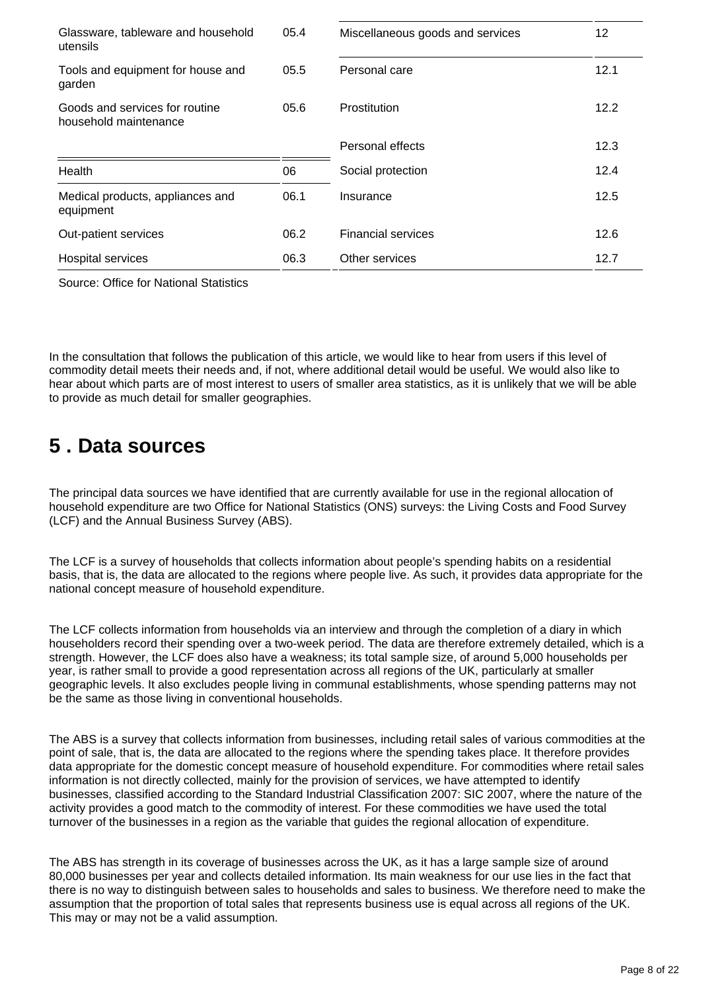| Glassware, tableware and household<br>utensils          | 05.4 | Miscellaneous goods and services | 12   |
|---------------------------------------------------------|------|----------------------------------|------|
| Tools and equipment for house and<br>garden             | 05.5 | Personal care                    | 12.1 |
| Goods and services for routine<br>household maintenance | 05.6 | <b>Prostitution</b>              | 12.2 |
|                                                         |      | Personal effects                 | 12.3 |
| Health                                                  | 06   | Social protection                | 12.4 |
| Medical products, appliances and<br>equipment           | 06.1 | Insurance                        | 12.5 |
| Out-patient services                                    | 06.2 | <b>Financial services</b>        | 12.6 |
| Hospital services                                       | 06.3 | Other services                   | 12.7 |

Source: Office for National Statistics

In the consultation that follows the publication of this article, we would like to hear from users if this level of commodity detail meets their needs and, if not, where additional detail would be useful. We would also like to hear about which parts are of most interest to users of smaller area statistics, as it is unlikely that we will be able to provide as much detail for smaller geographies.

### <span id="page-7-0"></span>**5 . Data sources**

The principal data sources we have identified that are currently available for use in the regional allocation of household expenditure are two Office for National Statistics (ONS) surveys: the Living Costs and Food Survey (LCF) and the Annual Business Survey (ABS).

The LCF is a survey of households that collects information about people's spending habits on a residential basis, that is, the data are allocated to the regions where people live. As such, it provides data appropriate for the national concept measure of household expenditure.

The LCF collects information from households via an interview and through the completion of a diary in which householders record their spending over a two-week period. The data are therefore extremely detailed, which is a strength. However, the LCF does also have a weakness; its total sample size, of around 5,000 households per year, is rather small to provide a good representation across all regions of the UK, particularly at smaller geographic levels. It also excludes people living in communal establishments, whose spending patterns may not be the same as those living in conventional households.

The ABS is a survey that collects information from businesses, including retail sales of various commodities at the point of sale, that is, the data are allocated to the regions where the spending takes place. It therefore provides data appropriate for the domestic concept measure of household expenditure. For commodities where retail sales information is not directly collected, mainly for the provision of services, we have attempted to identify businesses, classified according to the Standard Industrial Classification 2007: SIC 2007, where the nature of the activity provides a good match to the commodity of interest. For these commodities we have used the total turnover of the businesses in a region as the variable that guides the regional allocation of expenditure.

The ABS has strength in its coverage of businesses across the UK, as it has a large sample size of around 80,000 businesses per year and collects detailed information. Its main weakness for our use lies in the fact that there is no way to distinguish between sales to households and sales to business. We therefore need to make the assumption that the proportion of total sales that represents business use is equal across all regions of the UK. This may or may not be a valid assumption.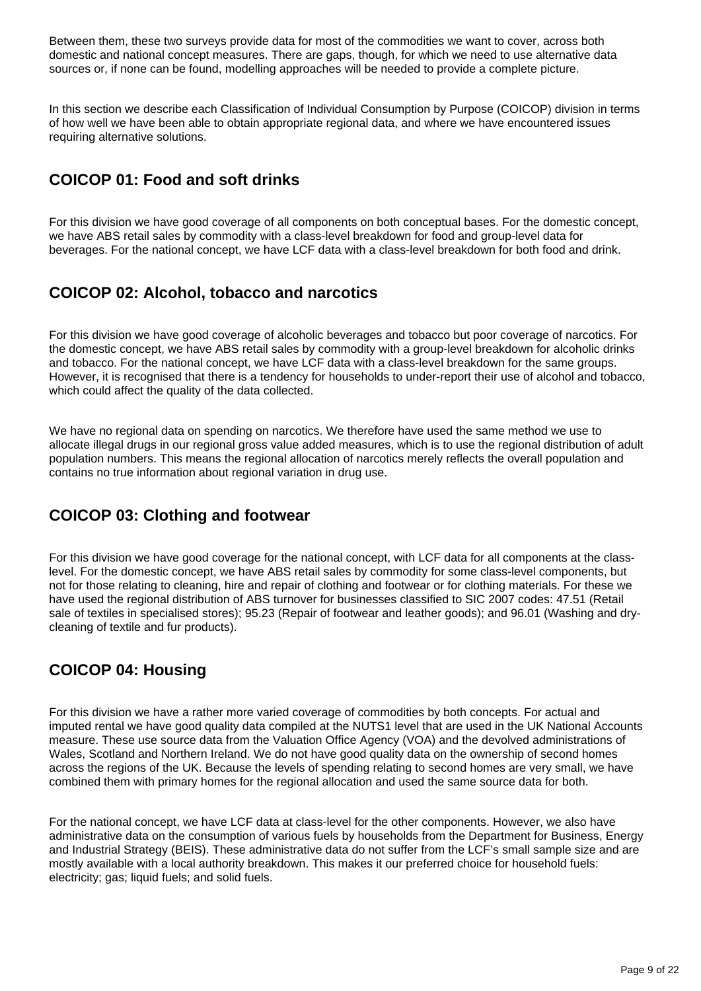Between them, these two surveys provide data for most of the commodities we want to cover, across both domestic and national concept measures. There are gaps, though, for which we need to use alternative data sources or, if none can be found, modelling approaches will be needed to provide a complete picture.

In this section we describe each Classification of Individual Consumption by Purpose (COICOP) division in terms of how well we have been able to obtain appropriate regional data, and where we have encountered issues requiring alternative solutions.

### **COICOP 01: Food and soft drinks**

For this division we have good coverage of all components on both conceptual bases. For the domestic concept, we have ABS retail sales by commodity with a class-level breakdown for food and group-level data for beverages. For the national concept, we have LCF data with a class-level breakdown for both food and drink.

#### **COICOP 02: Alcohol, tobacco and narcotics**

For this division we have good coverage of alcoholic beverages and tobacco but poor coverage of narcotics. For the domestic concept, we have ABS retail sales by commodity with a group-level breakdown for alcoholic drinks and tobacco. For the national concept, we have LCF data with a class-level breakdown for the same groups. However, it is recognised that there is a tendency for households to under-report their use of alcohol and tobacco, which could affect the quality of the data collected.

We have no regional data on spending on narcotics. We therefore have used the same method we use to allocate illegal drugs in our regional gross value added measures, which is to use the regional distribution of adult population numbers. This means the regional allocation of narcotics merely reflects the overall population and contains no true information about regional variation in drug use.

### **COICOP 03: Clothing and footwear**

For this division we have good coverage for the national concept, with LCF data for all components at the classlevel. For the domestic concept, we have ABS retail sales by commodity for some class-level components, but not for those relating to cleaning, hire and repair of clothing and footwear or for clothing materials. For these we have used the regional distribution of ABS turnover for businesses classified to SIC 2007 codes: 47.51 (Retail sale of textiles in specialised stores); 95.23 (Repair of footwear and leather goods); and 96.01 (Washing and drycleaning of textile and fur products).

### **COICOP 04: Housing**

For this division we have a rather more varied coverage of commodities by both concepts. For actual and imputed rental we have good quality data compiled at the NUTS1 level that are used in the UK National Accounts measure. These use source data from the Valuation Office Agency (VOA) and the devolved administrations of Wales, Scotland and Northern Ireland. We do not have good quality data on the ownership of second homes across the regions of the UK. Because the levels of spending relating to second homes are very small, we have combined them with primary homes for the regional allocation and used the same source data for both.

For the national concept, we have LCF data at class-level for the other components. However, we also have administrative data on the consumption of various fuels by households from the Department for Business, Energy and Industrial Strategy (BEIS). These administrative data do not suffer from the LCF's small sample size and are mostly available with a local authority breakdown. This makes it our preferred choice for household fuels: electricity; gas; liquid fuels; and solid fuels.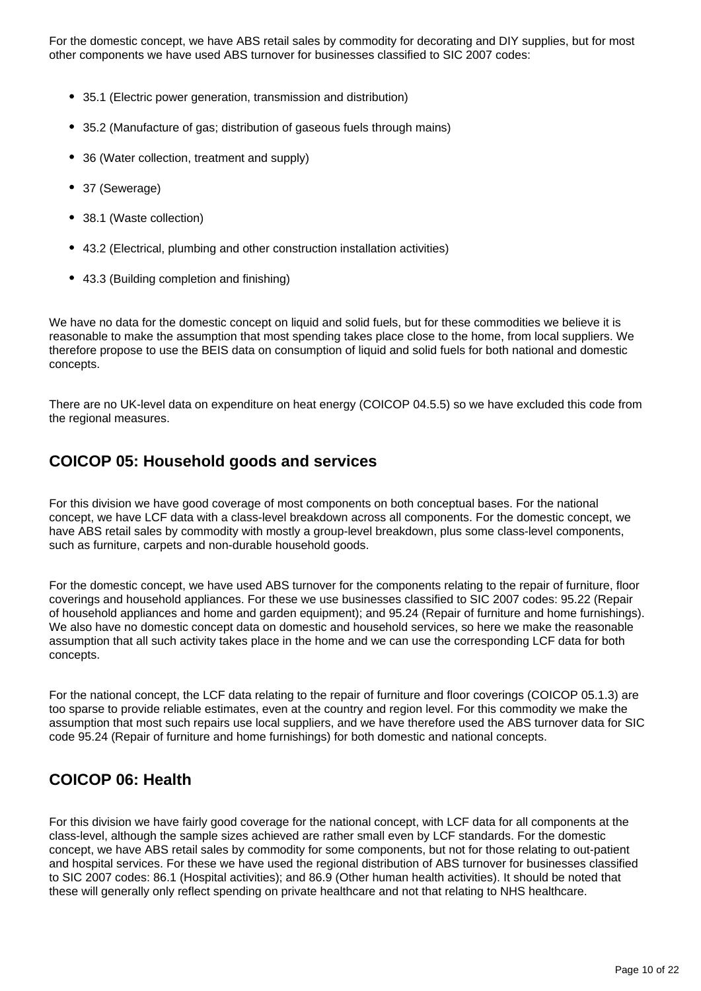For the domestic concept, we have ABS retail sales by commodity for decorating and DIY supplies, but for most other components we have used ABS turnover for businesses classified to SIC 2007 codes:

- 35.1 (Electric power generation, transmission and distribution)
- 35.2 (Manufacture of gas; distribution of gaseous fuels through mains)
- 36 (Water collection, treatment and supply)
- 37 (Sewerage)
- 38.1 (Waste collection)
- 43.2 (Electrical, plumbing and other construction installation activities)
- 43.3 (Building completion and finishing)

We have no data for the domestic concept on liquid and solid fuels, but for these commodities we believe it is reasonable to make the assumption that most spending takes place close to the home, from local suppliers. We therefore propose to use the BEIS data on consumption of liquid and solid fuels for both national and domestic concepts.

There are no UK-level data on expenditure on heat energy (COICOP 04.5.5) so we have excluded this code from the regional measures.

#### **COICOP 05: Household goods and services**

For this division we have good coverage of most components on both conceptual bases. For the national concept, we have LCF data with a class-level breakdown across all components. For the domestic concept, we have ABS retail sales by commodity with mostly a group-level breakdown, plus some class-level components, such as furniture, carpets and non-durable household goods.

For the domestic concept, we have used ABS turnover for the components relating to the repair of furniture, floor coverings and household appliances. For these we use businesses classified to SIC 2007 codes: 95.22 (Repair of household appliances and home and garden equipment); and 95.24 (Repair of furniture and home furnishings). We also have no domestic concept data on domestic and household services, so here we make the reasonable assumption that all such activity takes place in the home and we can use the corresponding LCF data for both concepts.

For the national concept, the LCF data relating to the repair of furniture and floor coverings (COICOP 05.1.3) are too sparse to provide reliable estimates, even at the country and region level. For this commodity we make the assumption that most such repairs use local suppliers, and we have therefore used the ABS turnover data for SIC code 95.24 (Repair of furniture and home furnishings) for both domestic and national concepts.

### **COICOP 06: Health**

For this division we have fairly good coverage for the national concept, with LCF data for all components at the class-level, although the sample sizes achieved are rather small even by LCF standards. For the domestic concept, we have ABS retail sales by commodity for some components, but not for those relating to out-patient and hospital services. For these we have used the regional distribution of ABS turnover for businesses classified to SIC 2007 codes: 86.1 (Hospital activities); and 86.9 (Other human health activities). It should be noted that these will generally only reflect spending on private healthcare and not that relating to NHS healthcare.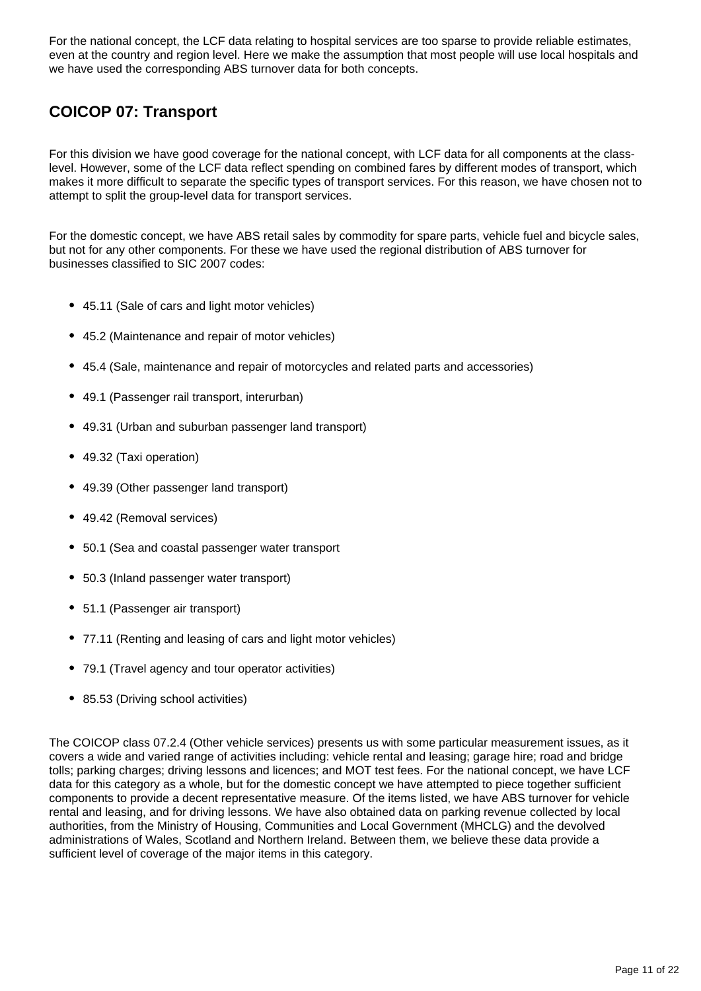For the national concept, the LCF data relating to hospital services are too sparse to provide reliable estimates, even at the country and region level. Here we make the assumption that most people will use local hospitals and we have used the corresponding ABS turnover data for both concepts.

### **COICOP 07: Transport**

For this division we have good coverage for the national concept, with LCF data for all components at the classlevel. However, some of the LCF data reflect spending on combined fares by different modes of transport, which makes it more difficult to separate the specific types of transport services. For this reason, we have chosen not to attempt to split the group-level data for transport services.

For the domestic concept, we have ABS retail sales by commodity for spare parts, vehicle fuel and bicycle sales, but not for any other components. For these we have used the regional distribution of ABS turnover for businesses classified to SIC 2007 codes:

- 45.11 (Sale of cars and light motor vehicles)
- 45.2 (Maintenance and repair of motor vehicles)
- 45.4 (Sale, maintenance and repair of motorcycles and related parts and accessories)
- 49.1 (Passenger rail transport, interurban)
- 49.31 (Urban and suburban passenger land transport)
- 49.32 (Taxi operation)
- 49.39 (Other passenger land transport)
- 49.42 (Removal services)
- 50.1 (Sea and coastal passenger water transport
- 50.3 (Inland passenger water transport)
- 51.1 (Passenger air transport)
- 77.11 (Renting and leasing of cars and light motor vehicles)
- 79.1 (Travel agency and tour operator activities)
- 85.53 (Driving school activities)

The COICOP class 07.2.4 (Other vehicle services) presents us with some particular measurement issues, as it covers a wide and varied range of activities including: vehicle rental and leasing; garage hire; road and bridge tolls; parking charges; driving lessons and licences; and MOT test fees. For the national concept, we have LCF data for this category as a whole, but for the domestic concept we have attempted to piece together sufficient components to provide a decent representative measure. Of the items listed, we have ABS turnover for vehicle rental and leasing, and for driving lessons. We have also obtained data on parking revenue collected by local authorities, from the Ministry of Housing, Communities and Local Government (MHCLG) and the devolved administrations of Wales, Scotland and Northern Ireland. Between them, we believe these data provide a sufficient level of coverage of the major items in this category.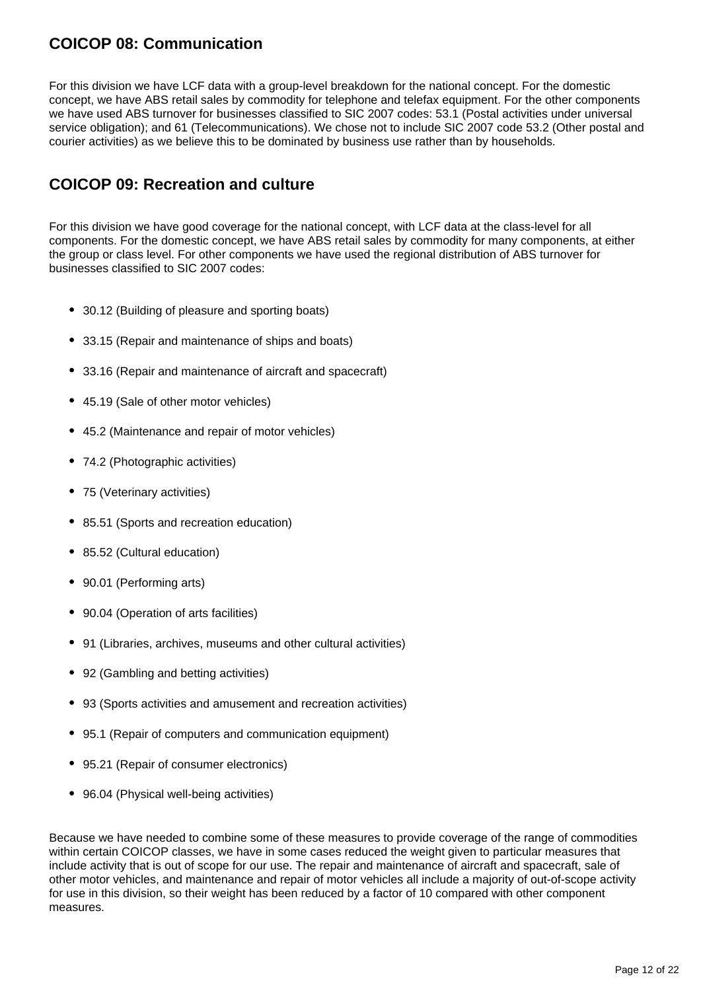#### **COICOP 08: Communication**

For this division we have LCF data with a group-level breakdown for the national concept. For the domestic concept, we have ABS retail sales by commodity for telephone and telefax equipment. For the other components we have used ABS turnover for businesses classified to SIC 2007 codes: 53.1 (Postal activities under universal service obligation); and 61 (Telecommunications). We chose not to include SIC 2007 code 53.2 (Other postal and courier activities) as we believe this to be dominated by business use rather than by households.

#### **COICOP 09: Recreation and culture**

For this division we have good coverage for the national concept, with LCF data at the class-level for all components. For the domestic concept, we have ABS retail sales by commodity for many components, at either the group or class level. For other components we have used the regional distribution of ABS turnover for businesses classified to SIC 2007 codes:

- 30.12 (Building of pleasure and sporting boats)
- 33.15 (Repair and maintenance of ships and boats)
- 33.16 (Repair and maintenance of aircraft and spacecraft)
- 45.19 (Sale of other motor vehicles)
- 45.2 (Maintenance and repair of motor vehicles)
- 74.2 (Photographic activities)
- 75 (Veterinary activities)
- 85.51 (Sports and recreation education)
- 85.52 (Cultural education)
- 90.01 (Performing arts)
- 90.04 (Operation of arts facilities)
- 91 (Libraries, archives, museums and other cultural activities)
- 92 (Gambling and betting activities)
- 93 (Sports activities and amusement and recreation activities)
- 95.1 (Repair of computers and communication equipment)
- 95.21 (Repair of consumer electronics)
- 96.04 (Physical well-being activities)

Because we have needed to combine some of these measures to provide coverage of the range of commodities within certain COICOP classes, we have in some cases reduced the weight given to particular measures that include activity that is out of scope for our use. The repair and maintenance of aircraft and spacecraft, sale of other motor vehicles, and maintenance and repair of motor vehicles all include a majority of out-of-scope activity for use in this division, so their weight has been reduced by a factor of 10 compared with other component measures.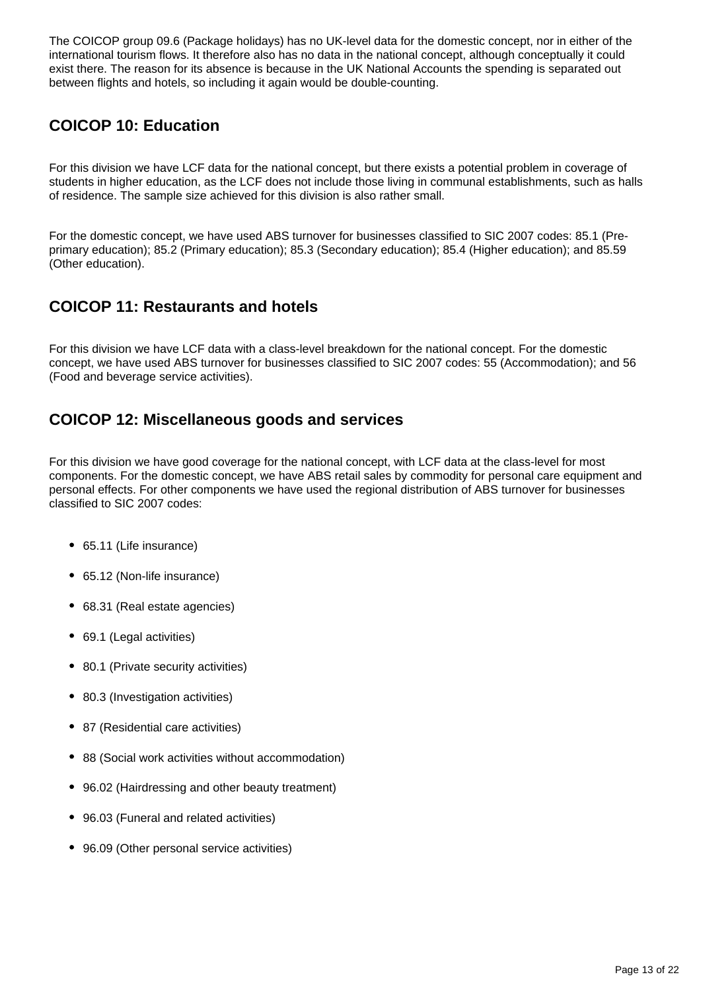The COICOP group 09.6 (Package holidays) has no UK-level data for the domestic concept, nor in either of the international tourism flows. It therefore also has no data in the national concept, although conceptually it could exist there. The reason for its absence is because in the UK National Accounts the spending is separated out between flights and hotels, so including it again would be double-counting.

### **COICOP 10: Education**

For this division we have LCF data for the national concept, but there exists a potential problem in coverage of students in higher education, as the LCF does not include those living in communal establishments, such as halls of residence. The sample size achieved for this division is also rather small.

For the domestic concept, we have used ABS turnover for businesses classified to SIC 2007 codes: 85.1 (Preprimary education); 85.2 (Primary education); 85.3 (Secondary education); 85.4 (Higher education); and 85.59 (Other education).

### **COICOP 11: Restaurants and hotels**

For this division we have LCF data with a class-level breakdown for the national concept. For the domestic concept, we have used ABS turnover for businesses classified to SIC 2007 codes: 55 (Accommodation); and 56 (Food and beverage service activities).

#### **COICOP 12: Miscellaneous goods and services**

For this division we have good coverage for the national concept, with LCF data at the class-level for most components. For the domestic concept, we have ABS retail sales by commodity for personal care equipment and personal effects. For other components we have used the regional distribution of ABS turnover for businesses classified to SIC 2007 codes:

- 65.11 (Life insurance)
- 65.12 (Non-life insurance)
- 68.31 (Real estate agencies)
- 69.1 (Legal activities)
- 80.1 (Private security activities)
- 80.3 (Investigation activities)
- 87 (Residential care activities)
- 88 (Social work activities without accommodation)
- 96.02 (Hairdressing and other beauty treatment)
- 96.03 (Funeral and related activities)
- 96.09 (Other personal service activities)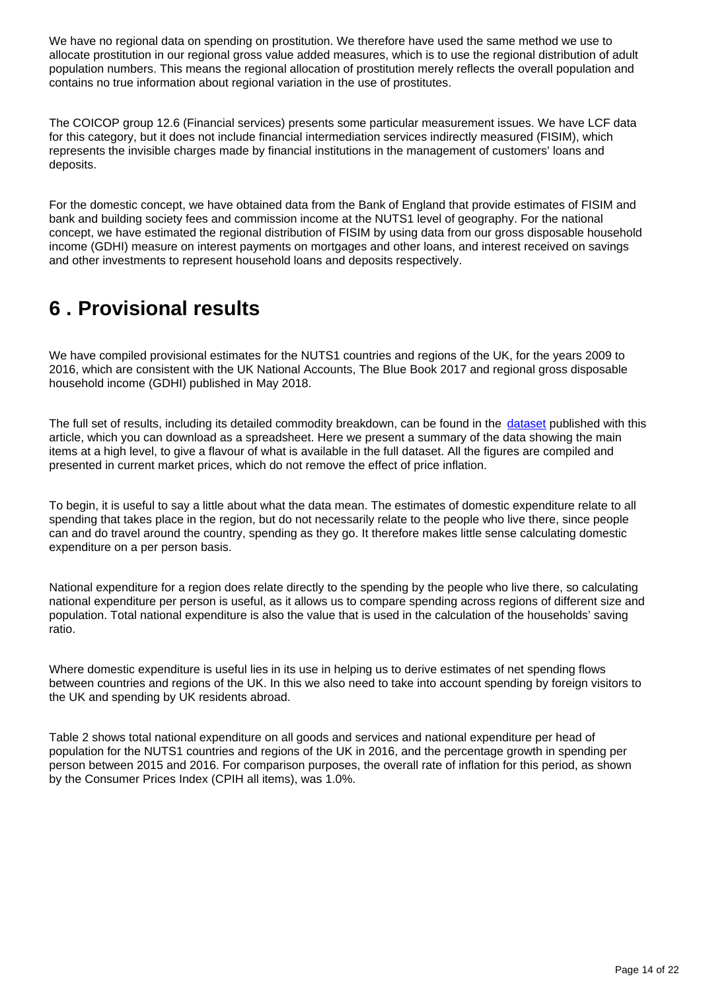We have no regional data on spending on prostitution. We therefore have used the same method we use to allocate prostitution in our regional gross value added measures, which is to use the regional distribution of adult population numbers. This means the regional allocation of prostitution merely reflects the overall population and contains no true information about regional variation in the use of prostitutes.

The COICOP group 12.6 (Financial services) presents some particular measurement issues. We have LCF data for this category, but it does not include financial intermediation services indirectly measured (FISIM), which represents the invisible charges made by financial institutions in the management of customers' loans and deposits.

For the domestic concept, we have obtained data from the Bank of England that provide estimates of FISIM and bank and building society fees and commission income at the NUTS1 level of geography. For the national concept, we have estimated the regional distribution of FISIM by using data from our gross disposable household income (GDHI) measure on interest payments on mortgages and other loans, and interest received on savings and other investments to represent household loans and deposits respectively.

## <span id="page-13-0"></span>**6 . Provisional results**

We have compiled provisional estimates for the NUTS1 countries and regions of the UK, for the years 2009 to 2016, which are consistent with the UK National Accounts, The Blue Book 2017 and regional gross disposable household income (GDHI) published in May 2018.

The full set of results, including its detailed commodity breakdown, can be found in the [dataset](https://www.ons.gov.uk/economy/regionalaccounts/grossdisposablehouseholdincome/datasets/regionalhouseholdfinalconsumptionexpenditure) published with this article, which you can download as a spreadsheet. Here we present a summary of the data showing the main items at a high level, to give a flavour of what is available in the full dataset. All the figures are compiled and presented in current market prices, which do not remove the effect of price inflation.

To begin, it is useful to say a little about what the data mean. The estimates of domestic expenditure relate to all spending that takes place in the region, but do not necessarily relate to the people who live there, since people can and do travel around the country, spending as they go. It therefore makes little sense calculating domestic expenditure on a per person basis.

National expenditure for a region does relate directly to the spending by the people who live there, so calculating national expenditure per person is useful, as it allows us to compare spending across regions of different size and population. Total national expenditure is also the value that is used in the calculation of the households' saving ratio.

Where domestic expenditure is useful lies in its use in helping us to derive estimates of net spending flows between countries and regions of the UK. In this we also need to take into account spending by foreign visitors to the UK and spending by UK residents abroad.

Table 2 shows total national expenditure on all goods and services and national expenditure per head of population for the NUTS1 countries and regions of the UK in 2016, and the percentage growth in spending per person between 2015 and 2016. For comparison purposes, the overall rate of inflation for this period, as shown by the Consumer Prices Index (CPIH all items), was 1.0%.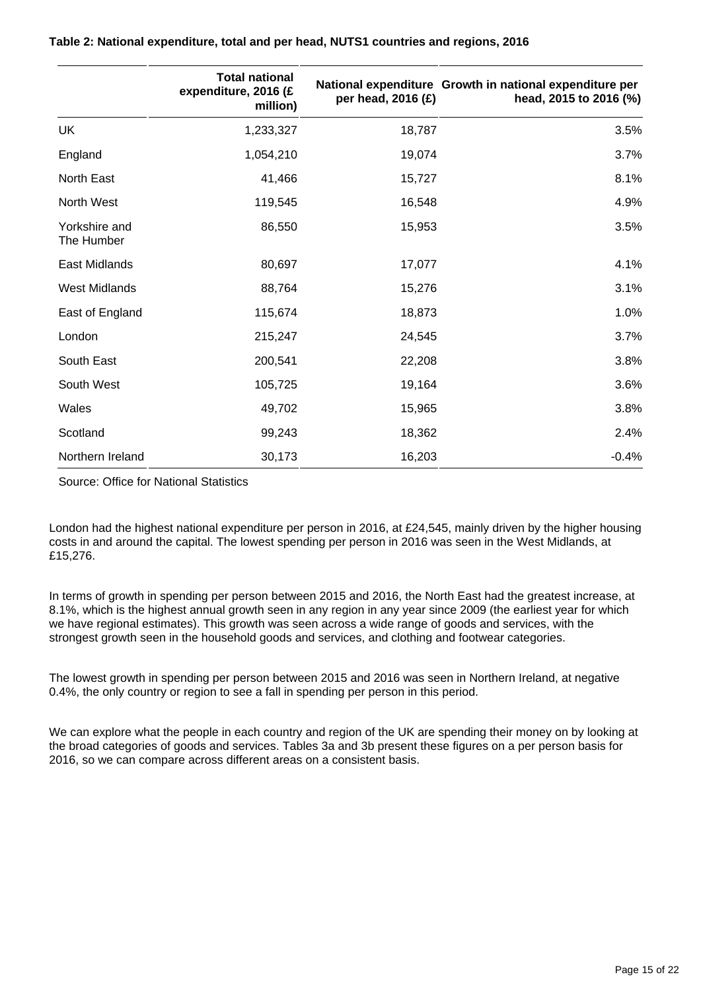|                             | <b>Total national</b><br>expenditure, 2016 (£<br>million) | per head, 2016 (£) | National expenditure Growth in national expenditure per<br>head, 2015 to 2016 (%) |
|-----------------------------|-----------------------------------------------------------|--------------------|-----------------------------------------------------------------------------------|
| <b>UK</b>                   | 1,233,327                                                 | 18,787             | 3.5%                                                                              |
| England                     | 1,054,210                                                 | 19,074             | 3.7%                                                                              |
| North East                  | 41,466                                                    | 15,727             | 8.1%                                                                              |
| North West                  | 119,545                                                   | 16,548             | 4.9%                                                                              |
| Yorkshire and<br>The Humber | 86,550                                                    | 15,953             | 3.5%                                                                              |
| East Midlands               | 80,697                                                    | 17,077             | 4.1%                                                                              |
| <b>West Midlands</b>        | 88,764                                                    | 15,276             | 3.1%                                                                              |
| East of England             | 115,674                                                   | 18,873             | 1.0%                                                                              |
| London                      | 215,247                                                   | 24,545             | 3.7%                                                                              |
| South East                  | 200,541                                                   | 22,208             | 3.8%                                                                              |
| South West                  | 105,725                                                   | 19,164             | 3.6%                                                                              |
| Wales                       | 49,702                                                    | 15,965             | 3.8%                                                                              |
| Scotland                    | 99,243                                                    | 18,362             | 2.4%                                                                              |
| Northern Ireland            | 30,173                                                    | 16,203             | $-0.4%$                                                                           |

#### **Table 2: National expenditure, total and per head, NUTS1 countries and regions, 2016**

Source: Office for National Statistics

London had the highest national expenditure per person in 2016, at £24,545, mainly driven by the higher housing costs in and around the capital. The lowest spending per person in 2016 was seen in the West Midlands, at £15,276.

In terms of growth in spending per person between 2015 and 2016, the North East had the greatest increase, at 8.1%, which is the highest annual growth seen in any region in any year since 2009 (the earliest year for which we have regional estimates). This growth was seen across a wide range of goods and services, with the strongest growth seen in the household goods and services, and clothing and footwear categories.

The lowest growth in spending per person between 2015 and 2016 was seen in Northern Ireland, at negative 0.4%, the only country or region to see a fall in spending per person in this period.

We can explore what the people in each country and region of the UK are spending their money on by looking at the broad categories of goods and services. Tables 3a and 3b present these figures on a per person basis for 2016, so we can compare across different areas on a consistent basis.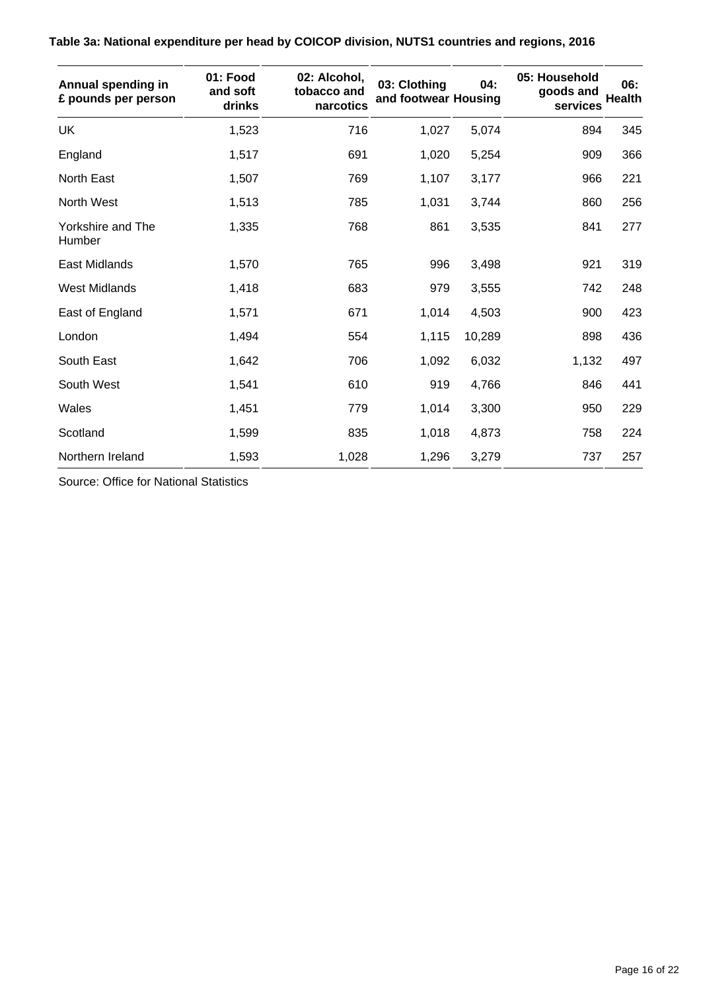| Annual spending in<br>£ pounds per person | 01: Food<br>and soft<br>drinks | 02: Alcohol,<br>tobacco and<br>narcotics | 03: Clothing<br>and footwear Housing | 04:    | 05: Household<br>goods and<br>services | 06:<br><b>Health</b> |
|-------------------------------------------|--------------------------------|------------------------------------------|--------------------------------------|--------|----------------------------------------|----------------------|
| UK                                        | 1,523                          | 716                                      | 1,027                                | 5,074  | 894                                    | 345                  |
| England                                   | 1,517                          | 691                                      | 1,020                                | 5,254  | 909                                    | 366                  |
| North East                                | 1,507                          | 769                                      | 1,107                                | 3,177  | 966                                    | 221                  |
| North West                                | 1,513                          | 785                                      | 1,031                                | 3,744  | 860                                    | 256                  |
| Yorkshire and The<br>Humber               | 1,335                          | 768                                      | 861                                  | 3,535  | 841                                    | 277                  |
| <b>East Midlands</b>                      | 1,570                          | 765                                      | 996                                  | 3,498  | 921                                    | 319                  |
| <b>West Midlands</b>                      | 1,418                          | 683                                      | 979                                  | 3,555  | 742                                    | 248                  |
| East of England                           | 1,571                          | 671                                      | 1,014                                | 4,503  | 900                                    | 423                  |
| London                                    | 1,494                          | 554                                      | 1,115                                | 10,289 | 898                                    | 436                  |
| South East                                | 1,642                          | 706                                      | 1,092                                | 6,032  | 1,132                                  | 497                  |
| South West                                | 1,541                          | 610                                      | 919                                  | 4,766  | 846                                    | 441                  |
| Wales                                     | 1,451                          | 779                                      | 1,014                                | 3,300  | 950                                    | 229                  |
| Scotland                                  | 1,599                          | 835                                      | 1,018                                | 4,873  | 758                                    | 224                  |
| Northern Ireland                          | 1,593                          | 1,028                                    | 1,296                                | 3,279  | 737                                    | 257                  |

**Table 3a: National expenditure per head by COICOP division, NUTS1 countries and regions, 2016**

Source: Office for National Statistics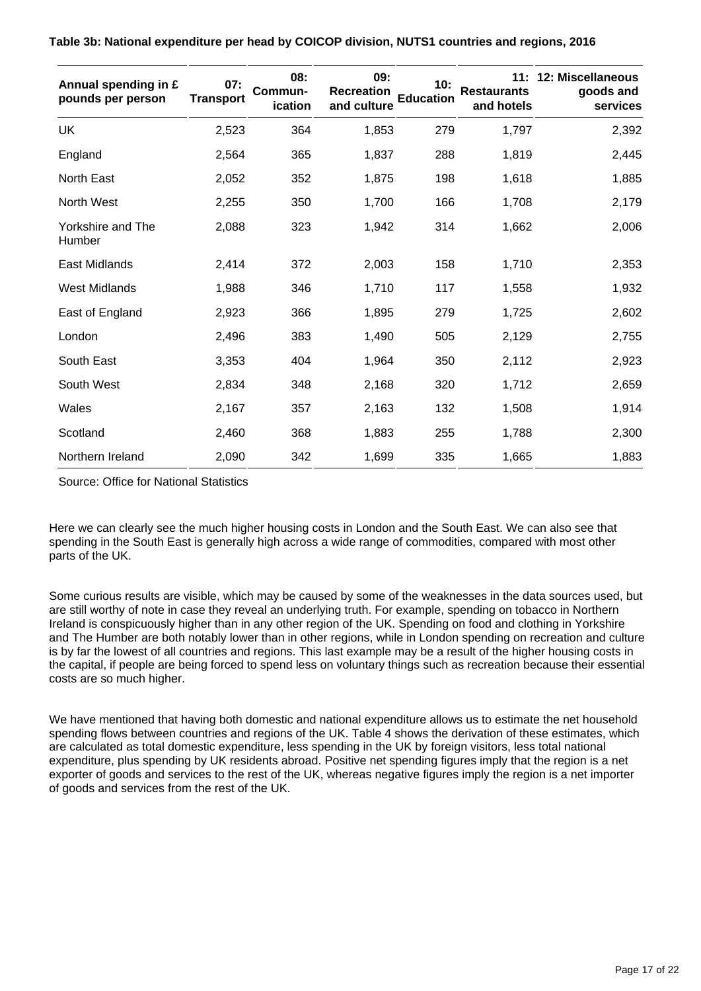|  |  | Table 3b: National expenditure per head by COICOP division, NUTS1 countries and regions, 2016 |  |
|--|--|-----------------------------------------------------------------------------------------------|--|
|  |  |                                                                                               |  |

| Annual spending in £<br>pounds per person | 07:<br><b>Transport</b> | 08:<br>Commun-<br>ication | 09:<br><b>Recreation</b><br>and culture | 10:<br><b>Education</b> | 11:<br><b>Restaurants</b><br>and hotels | 12: Miscellaneous<br>goods and<br>services |
|-------------------------------------------|-------------------------|---------------------------|-----------------------------------------|-------------------------|-----------------------------------------|--------------------------------------------|
| <b>UK</b>                                 | 2,523                   | 364                       | 1,853                                   | 279                     | 1,797                                   | 2,392                                      |
| England                                   | 2,564                   | 365                       | 1,837                                   | 288                     | 1,819                                   | 2,445                                      |
| North East                                | 2,052                   | 352                       | 1,875                                   | 198                     | 1,618                                   | 1,885                                      |
| North West                                | 2,255                   | 350                       | 1,700                                   | 166                     | 1,708                                   | 2,179                                      |
| Yorkshire and The<br>Humber               | 2,088                   | 323                       | 1,942                                   | 314                     | 1,662                                   | 2,006                                      |
| <b>East Midlands</b>                      | 2,414                   | 372                       | 2,003                                   | 158                     | 1,710                                   | 2,353                                      |
| <b>West Midlands</b>                      | 1,988                   | 346                       | 1,710                                   | 117                     | 1,558                                   | 1,932                                      |
| East of England                           | 2,923                   | 366                       | 1,895                                   | 279                     | 1,725                                   | 2,602                                      |
| London                                    | 2,496                   | 383                       | 1,490                                   | 505                     | 2,129                                   | 2,755                                      |
| South East                                | 3,353                   | 404                       | 1,964                                   | 350                     | 2,112                                   | 2,923                                      |
| South West                                | 2,834                   | 348                       | 2,168                                   | 320                     | 1,712                                   | 2,659                                      |
| Wales                                     | 2,167                   | 357                       | 2,163                                   | 132                     | 1,508                                   | 1,914                                      |
| Scotland                                  | 2,460                   | 368                       | 1,883                                   | 255                     | 1,788                                   | 2,300                                      |
| Northern Ireland                          | 2,090                   | 342                       | 1,699                                   | 335                     | 1,665                                   | 1,883                                      |

Source: Office for National Statistics

Here we can clearly see the much higher housing costs in London and the South East. We can also see that spending in the South East is generally high across a wide range of commodities, compared with most other parts of the UK.

Some curious results are visible, which may be caused by some of the weaknesses in the data sources used, but are still worthy of note in case they reveal an underlying truth. For example, spending on tobacco in Northern Ireland is conspicuously higher than in any other region of the UK. Spending on food and clothing in Yorkshire and The Humber are both notably lower than in other regions, while in London spending on recreation and culture is by far the lowest of all countries and regions. This last example may be a result of the higher housing costs in the capital, if people are being forced to spend less on voluntary things such as recreation because their essential costs are so much higher.

We have mentioned that having both domestic and national expenditure allows us to estimate the net household spending flows between countries and regions of the UK. Table 4 shows the derivation of these estimates, which are calculated as total domestic expenditure, less spending in the UK by foreign visitors, less total national expenditure, plus spending by UK residents abroad. Positive net spending figures imply that the region is a net exporter of goods and services to the rest of the UK, whereas negative figures imply the region is a net importer of goods and services from the rest of the UK.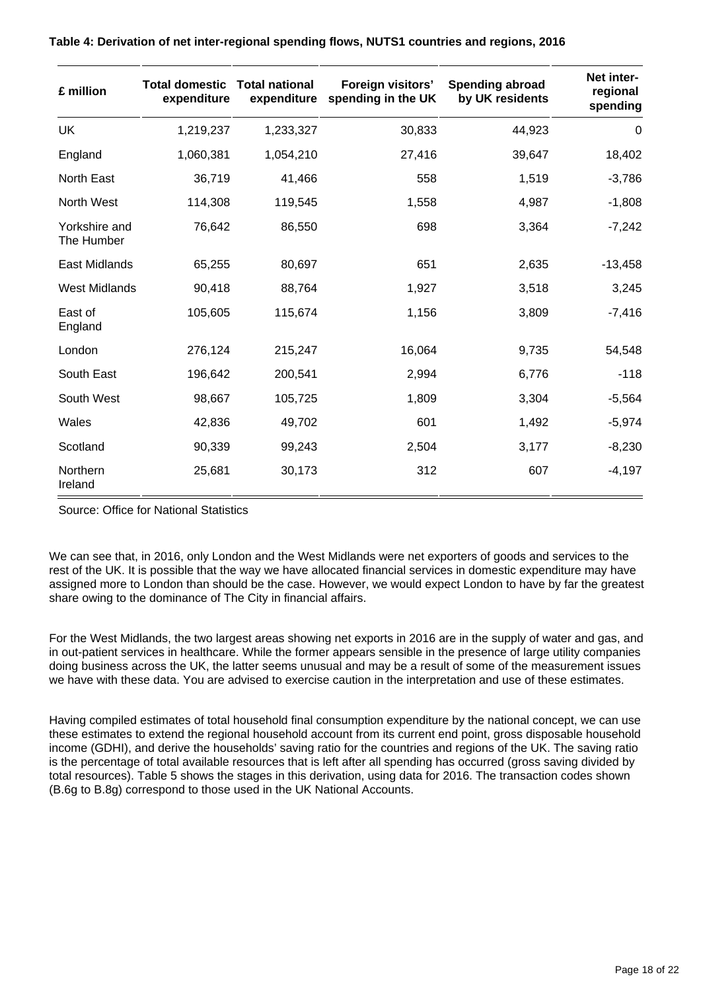| £ million                   | <b>Total domestic Total national</b><br>expenditure | expenditure | Foreign visitors'<br>spending in the UK | <b>Spending abroad</b><br>by UK residents | Net inter-<br>regional<br>spending |
|-----------------------------|-----------------------------------------------------|-------------|-----------------------------------------|-------------------------------------------|------------------------------------|
| <b>UK</b>                   | 1,219,237                                           | 1,233,327   | 30,833                                  | 44,923                                    | 0                                  |
| England                     | 1,060,381                                           | 1,054,210   | 27,416                                  | 39,647                                    | 18,402                             |
| North East                  | 36,719                                              | 41,466      | 558                                     | 1,519                                     | $-3,786$                           |
| North West                  | 114,308                                             | 119,545     | 1,558                                   | 4,987                                     | $-1,808$                           |
| Yorkshire and<br>The Humber | 76,642                                              | 86,550      | 698                                     | 3,364                                     | $-7,242$                           |
| East Midlands               | 65,255                                              | 80,697      | 651                                     | 2,635                                     | $-13,458$                          |
| <b>West Midlands</b>        | 90,418                                              | 88,764      | 1,927                                   | 3,518                                     | 3,245                              |
| East of<br>England          | 105,605                                             | 115,674     | 1,156                                   | 3,809                                     | $-7,416$                           |
| London                      | 276,124                                             | 215,247     | 16,064                                  | 9,735                                     | 54,548                             |
| South East                  | 196,642                                             | 200,541     | 2,994                                   | 6,776                                     | $-118$                             |
| South West                  | 98,667                                              | 105,725     | 1,809                                   | 3,304                                     | $-5,564$                           |
| Wales                       | 42,836                                              | 49,702      | 601                                     | 1,492                                     | $-5,974$                           |
| Scotland                    | 90,339                                              | 99,243      | 2,504                                   | 3,177                                     | $-8,230$                           |
| Northern<br>Ireland         | 25,681                                              | 30,173      | 312                                     | 607                                       | $-4,197$                           |

#### **Table 4: Derivation of net inter-regional spending flows, NUTS1 countries and regions, 2016**

Source: Office for National Statistics

We can see that, in 2016, only London and the West Midlands were net exporters of goods and services to the rest of the UK. It is possible that the way we have allocated financial services in domestic expenditure may have assigned more to London than should be the case. However, we would expect London to have by far the greatest share owing to the dominance of The City in financial affairs.

For the West Midlands, the two largest areas showing net exports in 2016 are in the supply of water and gas, and in out-patient services in healthcare. While the former appears sensible in the presence of large utility companies doing business across the UK, the latter seems unusual and may be a result of some of the measurement issues we have with these data. You are advised to exercise caution in the interpretation and use of these estimates.

Having compiled estimates of total household final consumption expenditure by the national concept, we can use these estimates to extend the regional household account from its current end point, gross disposable household income (GDHI), and derive the households' saving ratio for the countries and regions of the UK. The saving ratio is the percentage of total available resources that is left after all spending has occurred (gross saving divided by total resources). Table 5 shows the stages in this derivation, using data for 2016. The transaction codes shown (B.6g to B.8g) correspond to those used in the UK National Accounts.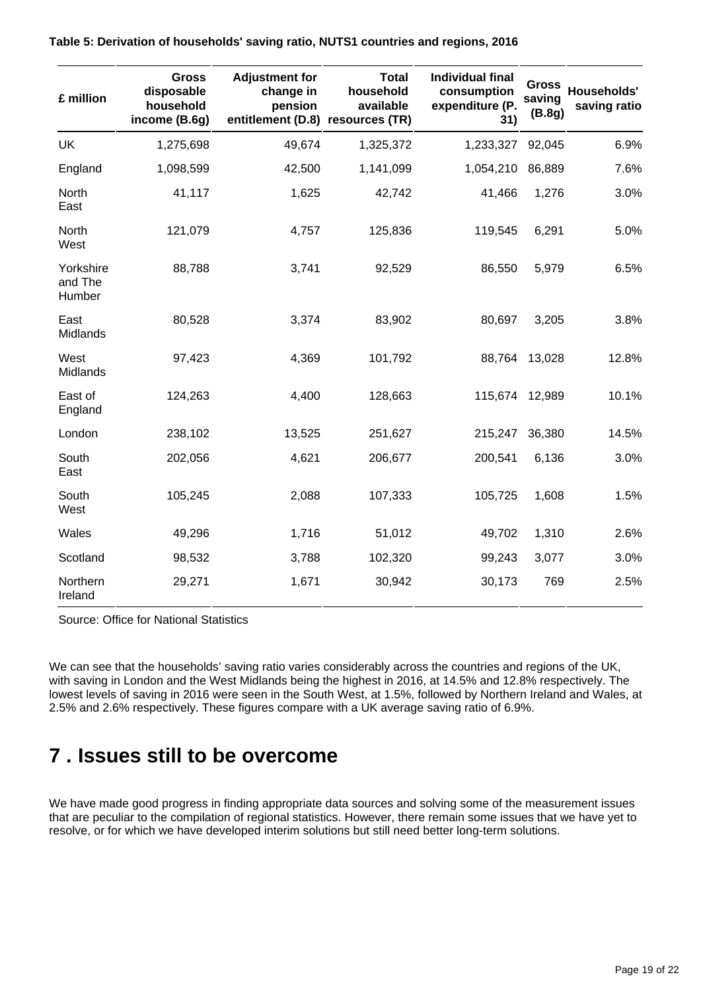| £ million                      | <b>Gross</b><br>disposable<br>household<br>income (B.6g) | <b>Adjustment for</b><br>change in<br>pension<br>entitlement (D.8) resources (TR) | <b>Total</b><br>household<br>available | <b>Individual final</b><br>consumption<br>expenditure (P.<br>31) | <b>Gross</b><br>saving<br>(B.8g) | Households'<br>saving ratio |
|--------------------------------|----------------------------------------------------------|-----------------------------------------------------------------------------------|----------------------------------------|------------------------------------------------------------------|----------------------------------|-----------------------------|
| UK                             | 1,275,698                                                | 49,674                                                                            | 1,325,372                              | 1,233,327                                                        | 92,045                           | 6.9%                        |
| England                        | 1,098,599                                                | 42,500                                                                            | 1,141,099                              | 1,054,210                                                        | 86,889                           | 7.6%                        |
| North<br>East                  | 41,117                                                   | 1,625                                                                             | 42,742                                 | 41,466                                                           | 1,276                            | 3.0%                        |
| North<br>West                  | 121,079                                                  | 4,757                                                                             | 125,836                                | 119,545                                                          | 6,291                            | 5.0%                        |
| Yorkshire<br>and The<br>Humber | 88,788                                                   | 3,741                                                                             | 92,529                                 | 86,550                                                           | 5,979                            | 6.5%                        |
| East<br>Midlands               | 80,528                                                   | 3,374                                                                             | 83,902                                 | 80,697                                                           | 3,205                            | 3.8%                        |
| West<br>Midlands               | 97,423                                                   | 4,369                                                                             | 101,792                                | 88,764                                                           | 13,028                           | 12.8%                       |
| East of<br>England             | 124,263                                                  | 4,400                                                                             | 128,663                                | 115,674                                                          | 12,989                           | 10.1%                       |
| London                         | 238,102                                                  | 13,525                                                                            | 251,627                                | 215,247                                                          | 36,380                           | 14.5%                       |
| South<br>East                  | 202,056                                                  | 4,621                                                                             | 206,677                                | 200,541                                                          | 6,136                            | 3.0%                        |
| South<br>West                  | 105,245                                                  | 2,088                                                                             | 107,333                                | 105,725                                                          | 1,608                            | 1.5%                        |
| Wales                          | 49,296                                                   | 1,716                                                                             | 51,012                                 | 49,702                                                           | 1,310                            | 2.6%                        |
| Scotland                       | 98,532                                                   | 3,788                                                                             | 102,320                                | 99,243                                                           | 3,077                            | 3.0%                        |
| Northern<br>Ireland            | 29,271                                                   | 1,671                                                                             | 30,942                                 | 30,173                                                           | 769                              | 2.5%                        |

#### **Table 5: Derivation of households' saving ratio, NUTS1 countries and regions, 2016**

Source: Office for National Statistics

We can see that the households' saving ratio varies considerably across the countries and regions of the UK, with saving in London and the West Midlands being the highest in 2016, at 14.5% and 12.8% respectively. The lowest levels of saving in 2016 were seen in the South West, at 1.5%, followed by Northern Ireland and Wales, at 2.5% and 2.6% respectively. These figures compare with a UK average saving ratio of 6.9%.

## <span id="page-18-0"></span>**7 . Issues still to be overcome**

We have made good progress in finding appropriate data sources and solving some of the measurement issues that are peculiar to the compilation of regional statistics. However, there remain some issues that we have yet to resolve, or for which we have developed interim solutions but still need better long-term solutions.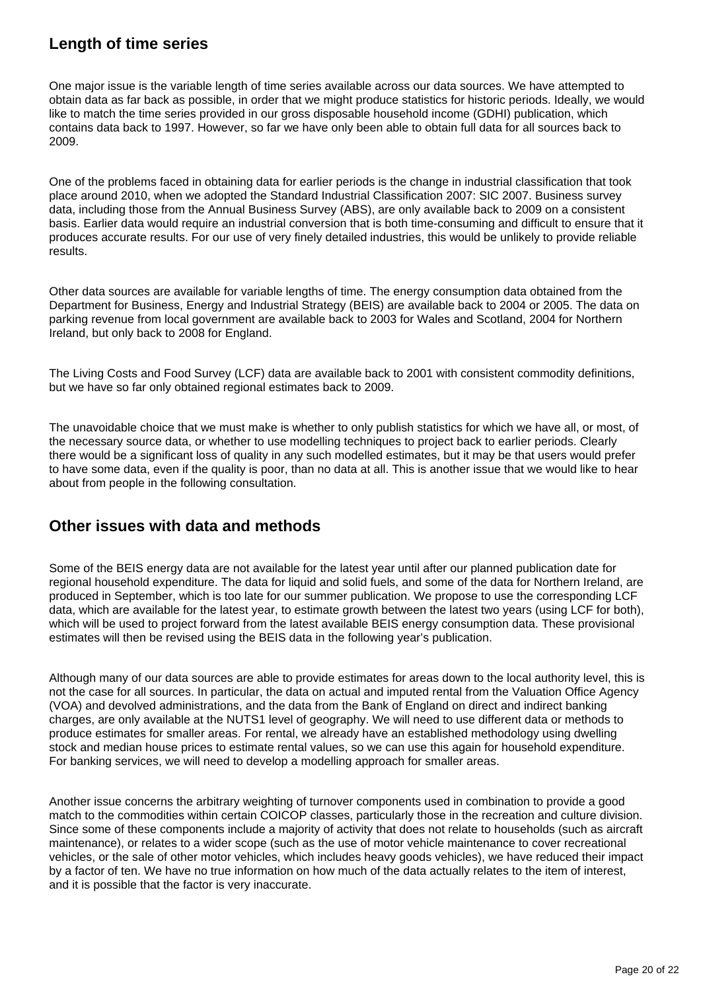#### **Length of time series**

One major issue is the variable length of time series available across our data sources. We have attempted to obtain data as far back as possible, in order that we might produce statistics for historic periods. Ideally, we would like to match the time series provided in our gross disposable household income (GDHI) publication, which contains data back to 1997. However, so far we have only been able to obtain full data for all sources back to 2009.

One of the problems faced in obtaining data for earlier periods is the change in industrial classification that took place around 2010, when we adopted the Standard Industrial Classification 2007: SIC 2007. Business survey data, including those from the Annual Business Survey (ABS), are only available back to 2009 on a consistent basis. Earlier data would require an industrial conversion that is both time-consuming and difficult to ensure that it produces accurate results. For our use of very finely detailed industries, this would be unlikely to provide reliable results.

Other data sources are available for variable lengths of time. The energy consumption data obtained from the Department for Business, Energy and Industrial Strategy (BEIS) are available back to 2004 or 2005. The data on parking revenue from local government are available back to 2003 for Wales and Scotland, 2004 for Northern Ireland, but only back to 2008 for England.

The Living Costs and Food Survey (LCF) data are available back to 2001 with consistent commodity definitions, but we have so far only obtained regional estimates back to 2009.

The unavoidable choice that we must make is whether to only publish statistics for which we have all, or most, of the necessary source data, or whether to use modelling techniques to project back to earlier periods. Clearly there would be a significant loss of quality in any such modelled estimates, but it may be that users would prefer to have some data, even if the quality is poor, than no data at all. This is another issue that we would like to hear about from people in the following consultation.

#### **Other issues with data and methods**

Some of the BEIS energy data are not available for the latest year until after our planned publication date for regional household expenditure. The data for liquid and solid fuels, and some of the data for Northern Ireland, are produced in September, which is too late for our summer publication. We propose to use the corresponding LCF data, which are available for the latest year, to estimate growth between the latest two years (using LCF for both), which will be used to project forward from the latest available BEIS energy consumption data. These provisional estimates will then be revised using the BEIS data in the following year's publication.

Although many of our data sources are able to provide estimates for areas down to the local authority level, this is not the case for all sources. In particular, the data on actual and imputed rental from the Valuation Office Agency (VOA) and devolved administrations, and the data from the Bank of England on direct and indirect banking charges, are only available at the NUTS1 level of geography. We will need to use different data or methods to produce estimates for smaller areas. For rental, we already have an established methodology using dwelling stock and median house prices to estimate rental values, so we can use this again for household expenditure. For banking services, we will need to develop a modelling approach for smaller areas.

Another issue concerns the arbitrary weighting of turnover components used in combination to provide a good match to the commodities within certain COICOP classes, particularly those in the recreation and culture division. Since some of these components include a majority of activity that does not relate to households (such as aircraft maintenance), or relates to a wider scope (such as the use of motor vehicle maintenance to cover recreational vehicles, or the sale of other motor vehicles, which includes heavy goods vehicles), we have reduced their impact by a factor of ten. We have no true information on how much of the data actually relates to the item of interest, and it is possible that the factor is very inaccurate.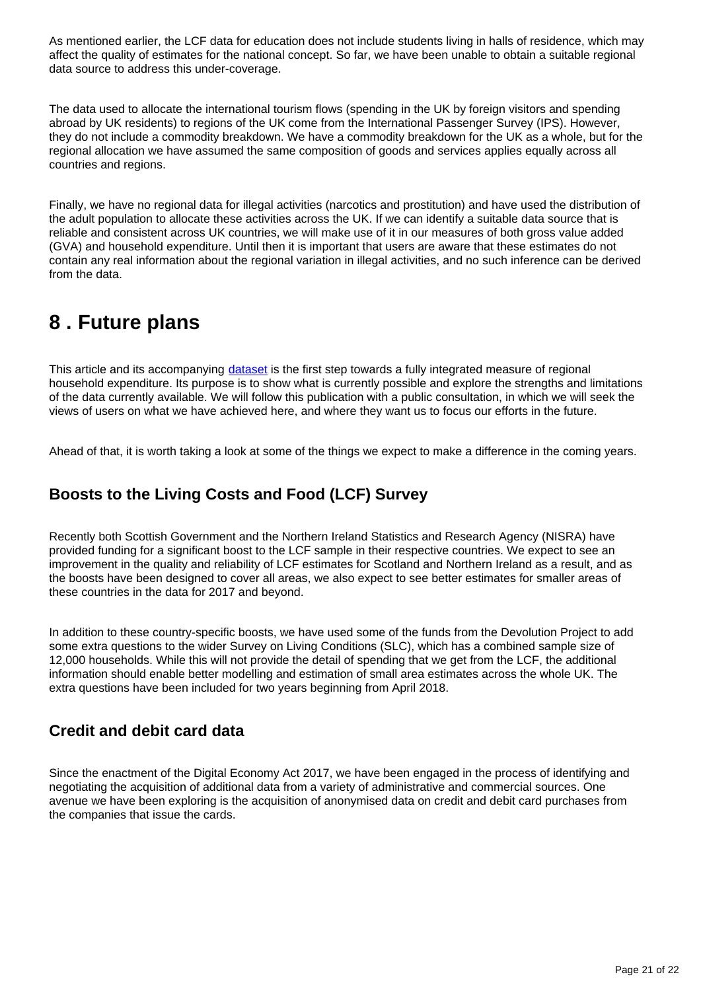As mentioned earlier, the LCF data for education does not include students living in halls of residence, which may affect the quality of estimates for the national concept. So far, we have been unable to obtain a suitable regional data source to address this under-coverage.

The data used to allocate the international tourism flows (spending in the UK by foreign visitors and spending abroad by UK residents) to regions of the UK come from the International Passenger Survey (IPS). However, they do not include a commodity breakdown. We have a commodity breakdown for the UK as a whole, but for the regional allocation we have assumed the same composition of goods and services applies equally across all countries and regions.

Finally, we have no regional data for illegal activities (narcotics and prostitution) and have used the distribution of the adult population to allocate these activities across the UK. If we can identify a suitable data source that is reliable and consistent across UK countries, we will make use of it in our measures of both gross value added (GVA) and household expenditure. Until then it is important that users are aware that these estimates do not contain any real information about the regional variation in illegal activities, and no such inference can be derived from the data.

### <span id="page-20-0"></span>**8 . Future plans**

This article and its accompanying [dataset](https://www.ons.gov.uk/economy/regionalaccounts/grossdisposablehouseholdincome/datasets/regionalhouseholdfinalconsumptionexpenditure) is the first step towards a fully integrated measure of regional household expenditure. Its purpose is to show what is currently possible and explore the strengths and limitations of the data currently available. We will follow this publication with a public consultation, in which we will seek the views of users on what we have achieved here, and where they want us to focus our efforts in the future.

Ahead of that, it is worth taking a look at some of the things we expect to make a difference in the coming years.

### **Boosts to the Living Costs and Food (LCF) Survey**

Recently both Scottish Government and the Northern Ireland Statistics and Research Agency (NISRA) have provided funding for a significant boost to the LCF sample in their respective countries. We expect to see an improvement in the quality and reliability of LCF estimates for Scotland and Northern Ireland as a result, and as the boosts have been designed to cover all areas, we also expect to see better estimates for smaller areas of these countries in the data for 2017 and beyond.

In addition to these country-specific boosts, we have used some of the funds from the Devolution Project to add some extra questions to the wider Survey on Living Conditions (SLC), which has a combined sample size of 12,000 households. While this will not provide the detail of spending that we get from the LCF, the additional information should enable better modelling and estimation of small area estimates across the whole UK. The extra questions have been included for two years beginning from April 2018.

#### **Credit and debit card data**

Since the enactment of the Digital Economy Act 2017, we have been engaged in the process of identifying and negotiating the acquisition of additional data from a variety of administrative and commercial sources. One avenue we have been exploring is the acquisition of anonymised data on credit and debit card purchases from the companies that issue the cards.